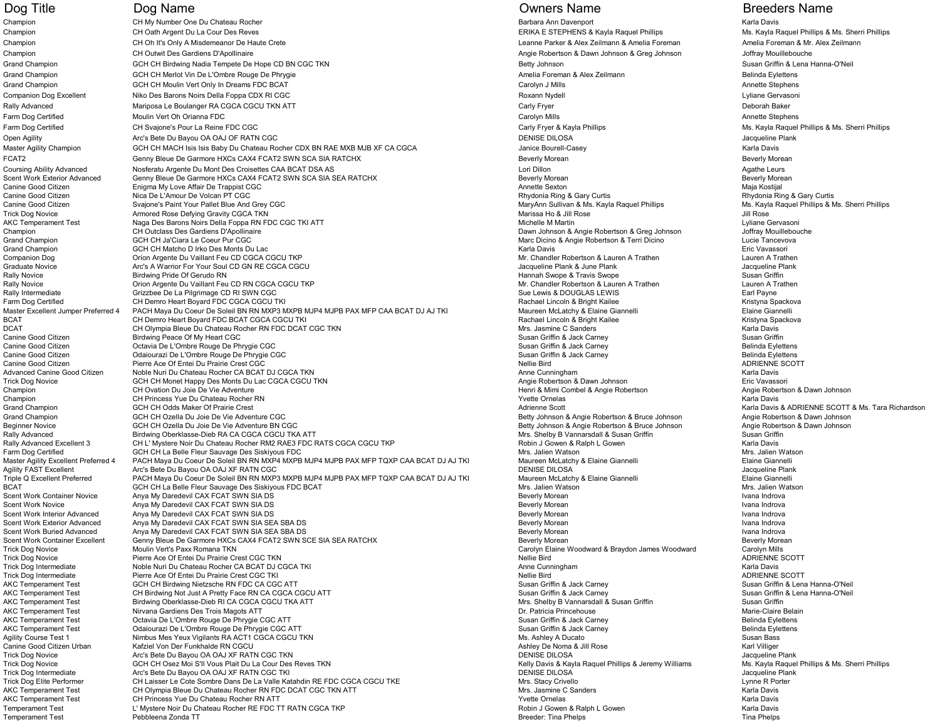Champion CH My Number One Du Chateau Rocher Channel Chateau Ann Davenport Barbara Ann Davenport Channel Chateau Rocher Karla Davis Cha CH Oath Argent Du La Cour Des Reves ERIKA E STEPHENS & Kayla Raquel Phillips Ms. Kayla Raquel Phillips & Ms. Sherri Phillips AMs. Sherri Phillips AMs. Sherri Phillips AMs. Sherri Phillips AMs. Sherri Phillips AMs. Sher Champion CH Oh It's Only A Misdemeanor De Haute Crete Leanne Parker and Champion Champion Amelia Foreman Amelia Foreman Amelia Foreman & Mr. Alex Zeilmann and Amelia Foreman & Mr. Alex Zeilmann and Amelia Foreman & Mr. Ale Champion CH Outwit Des Gardiens D'Apollinaire Anglie Robertson & Dawn Johnson & Greg Johnson Champion Champion Champion Champion Champion Champion Champion Champion Champion Champion Champion Champion Champion Champion Cha Grand Champion GCH CH Birdwing Nadia Tempete De Hope CD BN CGC TKN Betty Johnson Betty Johnson Susan Griffin & Lena Hanna-O'Neil Grand Champion GCH CH Merlot Vin De L'Ombre Rouge De Phrygie Amelia Foreman & Alex Zeilmann Andex Zeilmann Belinda Eylettens Grand Champion GCH CH Moulin Vert Only In Dreams FDC BCAT Carolyn Carolyn J Mills Carolyn J Mills Carolyn J Mills Annette Stephens Companion Dog Excellent Niko Des Barons Noirs Della Foppa CDX RI CGC COMPANION COMPANION ROXann Nydell Roxann Nydell Roxann Nydell Lyliane Gervasoni Rally Advanced **Examples 20 Mariposa Le Boulanger RA CGCA CGCU TKN ATT** Carly Fryer Carly Fryer Carly Fryer Deborah Baker Deborah Baker of Details and Moulin Vert Oh Orianna FDC and the Stephens of the Carolyn Mills Carolyn Mills Annette Stephens Annette Stephens and Moulin Vert Oh Orianna FDC and the Stephens of the Carolyn Mills Annette Stephens and Anne Farm Dog Certified CH Svajone's Pour La Reine FDC CGC Carly Fryer & Carly Fryer & Kayla Phillips Ms. Kayla Raquel Phillips Ms. Sherri Phillips Ms. Sherri Phillips Ms. Sherri Phillips AMs. Sherri Phillips AMs. Sherri Philli Open Agility **Arc's Bete Du Bayou OA OAJ OF RATN CGC** COMPOSITION AND RESERVE DENISE DILOSA DENISE DILOSA Jacqueline Plank Master Agility Champion GCH CH MACH Isis Isis Baby Du Chateau Rocher CDX BN RAE MXB MJB XF CA CGCA Janice Bourell-Casey Janice Bourell-Casey Karla Davis FCAT2 Genny Bleue De Garmore HXCs CAX4 FCAT2 SWN SCA SIA RATCHX Beverly Morean Beverly Morean Beverly Morean Beverly Morean Coursing Ability Advanced Mosferatu Argente Du Mont Des Croisettes CAA BCAT DSA AS Lori Dillon Lori Dillon Lori Dillon Lori Dillon Agathe Leurs Agathe Leurs<br>Coent Work Exterior Advanced Genny Bleue De Garmore HXCs CAX4 FCA Genny Bleue De Garmore HXCs CAX4 FCAT2 SWN SCA SIA SEA RATCHX Canine Good Citizen **Enigma My Love Affair De Trappist CGC** Communication Controller and the Controller Controller<br>Canine Good Citizen **Annette Sexton March 2016** Maja Kostijal Controller Maja Kostijal Controller Maja Kost Canine Good Citizen Nica De L'Amour De Volcan PT CGC COMINERAL CONTROLL CONTROLL CONTROLLET CONTROLLET CONTROLLET CONTROLLET CONTROLLET THE RHYDONIA Ring & Gary Curtis Cary Curtis Rhydonia Ring & Gary Curtis Rhydonia Ring Canine Good Citizen Suajone's Paint Your Pallet Blue And Grey CGC New States of Scales and Superint MaryAnn Sullivan & Ms. Kayla Raquel Phillips Ms. Kayla Raquel Phillips Ms. Kayla Raquel Phillips Ms. Kayla Raquel Phillips Armored Rose Defying Gravity CGCA TKN AKC Temperament Test **Auch Channel Communist Communist Communist Communist Communist Communist Communist Communist Communist Communist Communist Communist Communist Communist Communist Communist Communist Communist Communi** Champion CH Outclass Des Gardiens D'Apollinaire Champion Champion Champion Champion Champion Champion Champion<br>Champion CH Outclass Des Gardiens D'Apollinaire David Champion Champion and Discussion and Discussion Angie Rob Grand Champion Grand Communication Dirko Des Monts Du Lac Communication Communication of Communication Communication Communication Communication Communication Communication Communication Communication Communication Direct Orion Argente Du Vaillant Feu CD CGCA CGCU TKP Graduate Novice **Arc's A Warrior For Your Soul CD GN RE CGCA CGCU** CONTROL CONTROL CONTROL CONTROL CONTROL CONTROL CONTROL CONTROL CONTROL CONTROL CONTROL CONTROL CONTROL CONTROL CONTROL CONTROL CONTROL CONTROL CONTROL CON Novice Sindwing Pride Of Gerudo RN<br>Rally Novice Susan Griffin Companies of Gerudo RN COM COCA CGCU TKP Cannon Companies Companies Companies Mr. Chandler Robertson & Lauren A Trathen Curren A Trathen Curren A Trathen Orion Argente Du Vaillant Feu CD RN CGCA CGCU TKP Rally Intermediate CRIZZDEE DE La Pilgrimage CD RI SWN CGC NAMELER CONTENT SUE LEWIS AND SUE LEWIS AND SUE LEWIS<br>Tarm Dog Certified CHIDemro Heart Bovard FDC CGCA CGCU TKI CHIDER SUE REGISSION SUE RACHAR HITE RACHAEL Incol Farm Dog Certified CH Demro Heart Boyard FDC CGCA CGCU TKI Sanchael Armoric Channel Charles Rachael Lincoln & Bright Kailee Kristyna Spackova (Kristyna Spackova CH Demro Heart Boyard FDC CGCA CGCU TKI Sanchael Armoric Rach Master Excellent Jumper Preferred 4 PACH Maya Du Coeur De Soleil BN RN MXP3 MXPB MJP4 MJPB PAX MFP CAA BCAT DJ AJ TKI Maureen McLatchy & Elaine Giannelli<br>BCAT CH Demro Heart Boyard FDC BCAT CGCA CGCU TKI MICHAT RACHAELING CH Demro Heart Boyard FDC BCAT CGCA CGCU TKI DCAT CH Olympia Bleue Du Chateau Rocher RN FDC DCAT CGC TKN States and the Sanders Mrs. Jasmine C Sanders Mars<br>Canine Good Citizen Susan Gridwing Peace Of My Heart CGC CRC COC TCN Mars and Communication of the Susan Grid Canine Good Citizen **Susan Griffin**<br>Canine Good Citizen **Birdwing Peace Of My Heart CGC** Susan Griffin Busan Griffin & Jack Carney Susan Griffin & Jack Carney Susan Griffin & Jack Carney Susan Griffin & Jack Carney Belinda Octavia De L'Ombre Rouge De Phrygie CGC Canine Good Citizen **Canine Community Community** Community Community Community Canadian Community Canine Good Citizen Susan Griffin & Jack Carney **Canine Community Community Community Community** Canine Group Canine Group C Canine Good Citizen Pierre Ace Of Entei Du Prairie Crest CGC<br>Canine Good Citizen Adole Nuri Du Chateau Rocher CA BCAT DJ CGCA TKN Nellie Bird Anne Cunningham Anne Cunningham Manced Canine Good Citizen Noble Nuri Du Chateau Rocher CA BCAT DJ CGCA TKN ANNE ANNE ANNE ANNE ANNE ANNE CUNNINGHAM MANCE THEO WARRE ON THEORY OF THEORY OF THEORY ANNE CHATEAU ROLL OF THEORY ANNE CHATEAU ANNE CHATEAU ANNE Trick Dog Novice Angie Robertson & Dawn Johnson and Des Montes Henrich CH CH CH Monet Henrich Du Lac CGCA CGCU TKN Angie Robertson Angie Robertson & Dawn Johnson Eric Vavassori<br>CH Ovation Du Joie De Vie Adventure CGCA CGCU Champion CH Ovation Du Joie De Vie Adventure Henri & Mimi Combel & Angie Robertson Angie Robertson & Dawn Johnson Champion Champion Channel Channels (Channels Channels Channels Channels Channels Channels Channels Channels Channels Channels Channels Channels (Channels Channels Channels Channels Channels Channels Channels Channels Chann GCH CH Odds Maker Of Prairie Crest **Champion Corporation Champion Champion Champion Corporation** CHAMPIONS CONTR<br>GCH CH Ozella Du Joie De Vie Adventure CGC CONTROL CONTROL CONTROL DAVIS DAVIS DAVIS DAVIS DAVIS DAVIS DAVIS Grand Champion Grand Corporation GCH CH Ozella Du Joie De Vie Adventure CGC Corporation Corporation Corporation Corporation Corporation and the Corporation and the Corporation & Angie Robertson & Bruce Johnson Angie Robert Beginner Novice GCH CH Ozella Du Joie De Vie Adventure BN CGC Betty Johnson & Angie Robertson & Bruce Johnson Angie Robertson & Dawn Johnson Rally Advanced Sixtem Birdwing Oberklasse-Dieb RA CA CGCA CGCU TKA ATT Noting the Susan Griffin Susan Griffin Susan Griffin Susan Griffin Susan Griffin Susan Griffin Susan Griffin Susan Griffin Susan Griffin Susan Griffin CH L' Mystere Noir Du Chateau Rocher RM2 RAE3 FDC RATS CGCA CGCU TKP<br>GCH CH La Belle Fleur Sauvage Des Siskiyous FDC RATS CGCA CGCU TKP Robin J Gowen Karla Davison Farm Dog Certified GCH CH La Belle Fleur Sauvage Des Siskiyous FDC<br>Master Agility Excellent Preferred 4 PACH Maya Du Coeur De Soleil BN RN MXP4 MXPB MJP4 MJPB PAX MFP TQXP CAA BCAT DJ AJ TKI Maureen McLatchy & Elaine Giann Master Agility Excellent Preferred 4 PACH Maya Du Coeur De Soleil BN RN MXP4 MXPB MJP4 MJPB PAX MFP TQXP CAA BCAT DJ AJ TKI Maureen McLatchy & Elaine Giannelli Elaine Giannelli Elaine Giannelli Elaine Giannelli Elaine Gian Agility FAST Excellent **Arc's Bete Du Bayou OA OAJ XF RATN CGC** (ATT ACT ARTS) ARC'S THE RATN COCLEAN ARCH THE RATN COLLEAN ARCH THE PLANK OF THE PLANK ARCH THE REAL OF THE COLLEAN ARCH THE PLANK OF DENISE DILOSA THE DILOS TRIPLE TRIPOST PACH Maya Du Coeur De Soleil BN RN MXP3 MXPB MJP4 MJPB PAX MFP TQXP CAA BCAT DJ AJ TKI Maureen McLatchy & Elaine Giannelli Matson Elaine Giannelli Elaine Giannelli Elaine Giannelli Elaine Giannelli Elaine Gi BCAT GCH CH La Belle Fleur Sauvage Des Siskiyous FDC BCAT Scent Work Container Novice Anya My Daredevil CAX FCAT SWN SIA DS Anya My Daredevil CAX FCAT SWN SIA DS **Scenetial Container Any Anya My Daredevil CAX FCAT SWN SIA DS** Beverly Morean Indrova Scent Work Novice **Anya My Daredevil CAX FCAT SWN SIA DS** Beverly Morean Beverly Morean Indrova Ivana Indrova Scent Work Interior Advanced Anya My Daredevil CAX FCAT SWN SIA DS **Beverly Morean** Beverly Morean Ivana Indrova Scent Work Exterior Advanced Anya My Daredevil CAX FCAT SWN SIA SEA SBA DS **Search Concernent Concernent Concernent** Beverly Morean Beverly Morean Indrova Ivana Indrova<br>Scent Work Buried Advanced Anya My Daredevil CAX FCAT Anya My Daredevil CAX FCAT SWN SIA SEA SBA DS Scent Work Container Excellent Genny Bleue De Garmore HXCs CAX4 FCAT2 SWN SCE SIA SEA RATCHX Beverly Morean Beverly Morean Beverly Morean Beverly Morean Beverly Morean Beverly Morean Beverly Morean Beverly Morean Beverly M Trick Dog Novice **Moulin Vert's Paxx Romana TKN** Carolyn Elaine Woodward & Braydon James Moodward Carolyn Mills<br>Trick Dog Novice **Moulin Carolyn ADRIENNE SCOTT** Carolyn Mills Britan Mellie Bird Nellie Bird North ADRIENNE S Pierre Ace Of Entei Du Prairie Crest CGC TKN Trick Dog Intermediate Noble Nuri Du Chateau Rocher CA BCAT DJ CGCA TKI **New York CA BCAT DI COGA TKI** Anne Cunningham Anne Cunningham Karla Davis Trick Dog Intermediate Pierre Ace Of Entei Du Prairie Crest CGC TKI Du Prairie Crest CGC TKI Nellie Bird ADRIEN<br>AKC Temperament Test Susan Griffin & Lena Hanna-O'Neil ADRIENNE SCOTT AND RESERVENT ASSANCE OF THE SUSAN GRIF<br> AKC Temperament Test GCH CH Birdwing Nietzsche RN FDC CA CGC ATT Susan Griffin & Jack Carney Susan Griffin & Jack Carney Susan Griffin & Jack Carney Susan Griffin & Lena Hanna-O'Neil<br>AKC Temperament Test GH Birdwing Not Ju AKC Temperament Test CH Birdwing Not Just A Pretty Face RN CA CGCA CGCU ATT And the Susan Controller Competition Susan Griffin A Jack Carney Susan Griffin Susan Griffin Susan Griffin Susan Griffin Susan Griffin Susan Griff Birdwing Oberklasse-Dieb RI CA CGCA CGCU TKA ATT AKC Temperament Test **Schware-Claire Belain**<br>
Dr. Patricia Princehouse Dr. Patricia Princehouse Marie-Claire Belain AKC Temperament Test Carries of Collection Collection Carries of the United States of Delinda Eylettens and the Susan Griffin & Jack Carney Carries of the Belinda Eylettens and the Susan Griffin & Jack Carney Belinda Eylet AKC Temperament Test Chaiourazi De L'Ombre Rouge De Phrygie CGC ATT Susan Susan Griffin & Jack Carney Chaines Helinda Eylettens and Delinda Eylettens and Delinda Eylettens and Delinda Eylettens and Delinda Eylettens and De Nimbus Mes Yeux Vigilants RA ACT1 CGCA CGCU TKN Canine Good Citizen Urban Kafziel Von Der Funkhalde RN CGCU **Ashley De Noma & Jill Rose** Karl Villiger Karl Villiger Trick Dog Novice Same Du Bayou OA OAJ XF RATN CGC TKN ARC'S CONSERVENT AND RESULT ON THE DUGAL DENISE DILOSA DENISE DILOSA DENISE DILOSA DENISE DILOSA JACQueline Plank Jacqueline Plank Jacqueline Plank Jacqueline Plank She Trick Dog Intermediate **Arc's Bete Du Bayou OA OAJ XF RATN CGC TKI** CONTRICT CONCRITE ARCH ARC'S TO DENISE DILOSA<br>Trick Dog Elite Performer CH Laisser Le Cote Sombre Dans De La Valle Katahdin RE FDC CGCA CGCU TKE MICH ARCH Trick Dog Elite Performer CH Laisser Le Cote Sombre Dans De La Valle Katahdin RE FDC CGCA CGCU TKE Manus Computer Controlled and the Sanders Crivello Lynne R Porter R Porter R Porter R Porter R Porter R Porter R Porter R P CH Olympia Bleue Du Chateau Rocher RN FDC DCAT CGC TKN ATT **ARK CHATEAU CHEATH CONTROLL CHEATH OF S**AND READ ANT<br>And Drivers And Du Chateau Rocher RN ATT May is a strip Davis CH Princes Attention of Sanders Karla Davis Car AKC Temperament Test CH Princess Yue Du Chateau Rocher RN ATT<br>Temperament Test CH Princess Yue Du Chateau Rocher RE FDC TT RATN CGCA TKP COMPAREL CHANNEL ROLL GOWEN & Ralph L Gowen & Ralph L Gowen Karla Davis Karla Davis L' Mystere Noir Du Chateau Rocher RE FDC TT RATN CGCA TKP Temperament Test Pebbleena Zonda TT Breeder: Tina Phelps Tina Phelps

Marc Dicino & Angie Robertson & Terri Dicino Kelly Davis & Kayla Raquel Phillips & Jeremy Williams

## Dog Title **Example 20 Dog Name Construction Construction** Company of Company Owners Name Breeders Name Breeders Name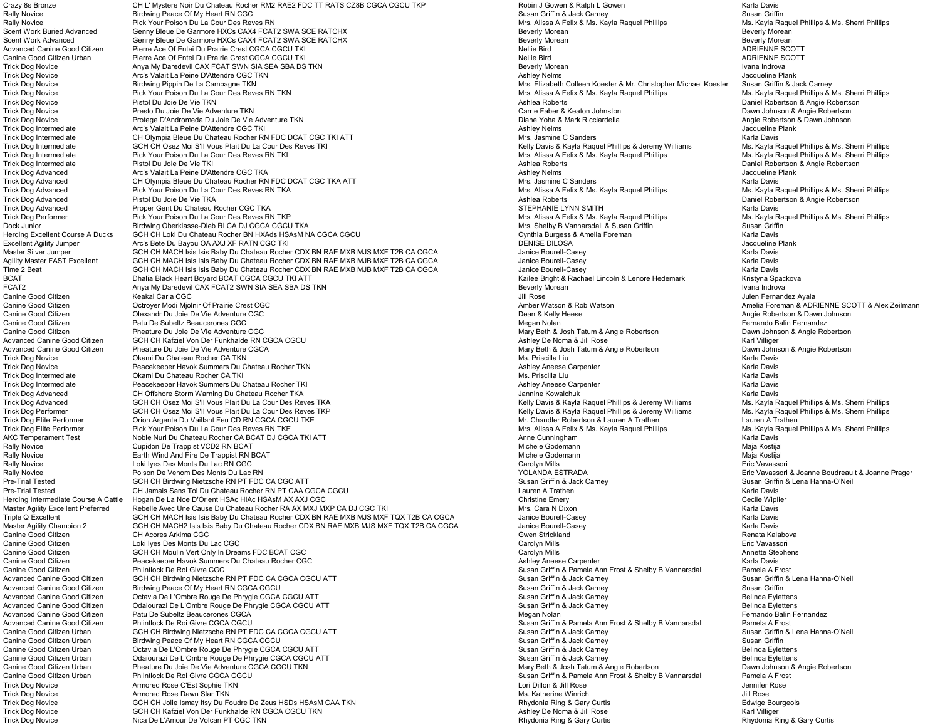Crazy 8s Bronze CH L' Mystere Noir Du Chateau Rocher RM2 RAE2 FDC TT RATS CZ8B CGCA CGCU TKP Robin J Gowen & Ralph L Gowen And Davis Karla Davis<br>Cally Novice Chateau And Contained Bridwing Peace Of My Heart RN CGC Birdwing Peace Of My Heart RN CGC<br>Pick Your Poison Du La Cour Des Reves RN Novice Birdwin Susan Griffin & Jack Carney Susan Griffin & Jack Carney<br>Mrs. Alissa A Felix & Ms. Kayla Raquel Phillips Mrs. Kayla Raquel Phillips M Rally Novice **Pick Your Poison Du La Cour Des Reves RN** Mars. Alissa A Felix & Ms. Kayla Raquel Phillips Ms. Kayla Raquel Phillips And Mrs. Alissa A Felix & Ms. Kayla Raquel Phillips Ms. Kayla Raquel Phillips **And And Mrs.** Scent Work Buried Advanced Genny Bleue De Garmore HXCs CAX4 FCAT2 SWA SCE RATCHX Beverly Morean Beverly Morean Beverly Morean Beverly Morean Beverly Morean Beverly Morean Beverly Morean Beverly Morean Beverly Morean Beverl Scent Work Advanced **School Community Cenny Bleue De Garmore HXCs CAX4 FCAT2 SWA SCE RATCHX** Beverly Communication<br>Communication Advanced General Advancement Pierre Ace of Entei Du Prairie Crest CGCA CGCU TKI Beverly Morea Advanced Canadian Du Prairie Crest CGCA CGCU TKI Nellie Bird ADRIENNE SCOTTER Ace Of Entei Du Prairie Bird ADRIENNE Canine Good Citizen Urban Pierre Ace Of Entei Du Prairie Crest CGCA CGCU TKI Nellie Bird Nellie Bird Nellie Bird ADRIENNE SCOTT Trick Dog Novice Anya My Daredevil CAX FCAT SWN SIA SEA SBA DS TKN Beverly Morean Ivana Indrova Arc's Valait La Peine D'Attendre CGC TKN Trick Dog Novice Susan Griffin & Jack Carney Birdwing Pippin De La Campagne TKN MRS Novice Birdwing Pippin De La Campagne TKN Mrs. Elizabeth Colleen Koester & Mr. Christopher Michael Koester Susan Griffin & Jack Carney<br>Tri Trick Dog Novice Pick Your Poison Du La Cour Des Reves RN TKN Mrs. Alissa A Felix & Ms. Kayla Raquel Phillips M<br>Trick Dog Novice Pistol Du Joie De Vie TKN Mrs. Reves RN TKN Mars And Mars And Ashea Roberts Andrea Roberts A Trick Dog Novice Same Devie Adventure TKN Presto Du Joie De Vie Adventure TKN Preston Device Angie Robertson Carrie Faber & Keaton Johnston Dawn Johnson Dawn Johnson & Angie Robertson Dawn Johnson Dawn Johnson Dawn Johnson Protege D'Andromeda Du Joie De Vie Adventure TKN Trick Dog Intermediate Arc's Valait La Peine D'Attendre CGC TKI<br>Trick Dog Intermediate CH Olympia Bleue Du Chateau Rocher RN FDC DCAT CGC TKI ATT Mather and Mrs. Jasmine C Sanders Mathe Content and Savis Karla Davis Trick Dog Intermediate CH Olympia Bleue Du Chateau Rocher RN FDC DCAT CGC TKI ATT Mrs. Jasmine C Sanders Mrs. Jasmine C Sanders Mrs. Jasmine C Sanders Karla Davis Mana Davis Mana Davis Atta Davis Atta Davis Atta Davis Atta Trick Dog Intermediate Pick Your Poison Du La Cour Des Reves RN TKI Musta Mars. Alissa A Felix & Ms. Kayla Raquel Phillips Mrs. Alissa A Felix & Ms. Kayla Raquel Phillips AMs. Sherri Phillips & Ms. Sherri Phillips & Ms. Sh Trick Dog Intermediate **Pistol Du Joie De Vie TKI** Prick Du Joie De Vie TKI Ashlea Roberts Daniel Roberts and Daniel Roberts and Daniel Robertson & Angie Robertson & Angie Robertson Baniel Roberts and Daniel Roberts and Da Trick Dog Advanced **Arc's Valait La Peine D'Attendre CGC TKA** ARC ON THE STAND CONTENT ASHIGN ASHLEY ARC'S Valait La Peine D'Attendre CGC TKA ATT Annual CH Olympia Bleue Du Chateau Rocher RN FDC DCAT CGC TKA ATT **Annual CH** CH Olympia Bleue Du Chateau Rocher RN FDC DCAT CGC TKA ATT Trick Dog Advanced Pick Your Poison Du La Cour Des Reves RN TKA Musta Astronomy and Mrs. Alissa A Felix & Ms. Kayla Raquel Phillips Mrs. Alissa A Felix & Ms. Kayla Raquel Phillips Ms. Kayla Raquel Phillips Ms. Sherri Phill Trick Dog Advanced Pistol Du Joie De Vie TKA Prick Daniel Roberts Daniel Roberts Daniel Robertson & Angie Robertson & Angie Robertson & Angie Robertson & Angie Robertson & Angie Robertson Daniel Robertson & Angie Robertson Trick Dog Advanced Froper Gent Du Chateau Rocher CGC TKA STER AND THE STEPHANIE LYNN SMITH STEPHANIE LYNN SMITH<br>Trick Dog Performer STER STEPHANIE PRICK Your Poison Du La Cour Des Reves RN TKP STER STERN STEPHANIE LYNN SMI Trick Dog Performer Mrs. Alissa A Felix & Ms. Alissa A Felix & Ms. Alissa A Felix & Ms. Kayla Raquel Phillips Mrs. Kayla Raquel Phillips And Mrs. Alissa A Felix & Ms. Kayla Raquel Phillips Mrs. Kayla Raquel Phillips & Ms. Birdwing Oberklasse-Dieb RI CA DJ CGCA CGCU TKA (GCA CGCI I) (Susan Griffin Susan Griffin Susan Griffin Susan Griffin Susan Griffin Susan Griffin Susan Griffin Susan Griffin Susan Griffin Susan Griffin Susan Griffin Susan Herding Excellent Course A Ducks GCH CH Loki Du Chateau Rocher BN HXAds HSAsM NA CGCA CGCU المستحدث المستحدث و المستحدث و Gerding Excellent Agility Jumper and the CH Loki Du Chateau Rocher BN HXAds HSAsM NA CGCA CGCU<br>Exce Excellent Agility Jumper Arc's Bete Du Bayou OA AXJ XF RATN CGC TKI DENISE DILOSA Jacqueline Plank GCH CH MACH Isis Isis Baby Du Chateau Rocher CDX BN RAE MXB MJS MXF T2B CA CGCA<br>GCH CH MACH Isis Isis Baby Du Chateau Rocher CDX BN RAE MXB MJB MXF T2B CA CGCA Janice Bourell-Casey Agility Master FAST Excellent GCH CH MACH Isis Isis Baby Du Chateau Rocher CDX BN RAE MXB MJB MXF T2B CA CGCA Jamice Bourell-Casey Janice Bourell-Casey Carla Davis Karla Davis (Arla Davis Asta Davis And Davis And Davis And The 2 Beat GCH CH MACH Isis Isis Baby Du Chateau Rocher CDX BN RAE MXB MJB MXF T2B CA CGCA Jamice Sourell-Casey Janice Bourell-Casey Janice Bourell-Casey Chateau Rocher CGCA CGCU TKI ATT Davis Are MAGH ARE MAGH ARE MAGH AR BCAT Dhalia Black Heart Boyard BCAT CGCA CGCU TKI ATT STAT ATT AND RESOLUTION A Rachael Lincoln & Lenore Hedemark Kristyna Spackova FCAT2 **Anya My Daredevil CAX FCAT2 SWN SIA SEA SBA DS TKN** Beverly Morean Beverly Morean **Indrova** Ivana Indrova<br>Canine Good Citizen **Beverly Morean Indrova** Keakai Carla CGC Canine Good Citizen Keakai Carla CGC Jill Rose Julen Fernandez Ayala Canine Good Citizen **Canine Canine Canada Citizen** Octroyer Modi Mjolnir Of Prairie Crest CGC Computer Computer Computer Computer Modern Manner Manner Watson Amber Watson & Rob Watson Amber Watson America Foreman & ADRIENN Canine Good Citizen **Olexandr Du Joie De Vie Adventure CGC** Dean American Canada Brown Canine Good Citizen Brown A<br>Canine Good Citizen **Dean Brown Dawn De Subeltz Beaucerones CGC** Dean Dean Angie Robertson Angie Robertson Canine Good Citizen Patu De Subeltz Beaucerones CGC **Canadia Canadia Canadia Canadia Canine Concepts and Canadia**<br>Canine Good Citizen **Pature De Subeltz Beaucerones CGC** Canadia Canadia Canadia Canadia Megan Nolan Mary Bet Canine Good Citizen Pheature Du Joie De Vie Adventure CGC New York Canada Canada Canine Good Citizen Pheature Du Johnson Dawn Johnson Dawn Johnson Dawn Johnson Dawn Johnson Dawn Johnson Dawn Johnson Dawn Johnson Beth & Ang Advanced Canine Good Citizen GCH CH Kafziel Von Der Funkhalde RN CGCA CGCU Ashley De Noma Ashley De Noma & Jill Rose Noma & Jill Rose Noma & General Canine Good Citizen Good Citizen Pheature Du Joie De Vie Adventure CGCA C Pheature Du Joie De Vie Adventure CGCA **Communication Canada Citizen Pheature Adventure CGCA** Mary Beth & Josh Tatum & Angie Robertson Trick Dog Novice **School Community Constant CA TRICK** CA TRICK CONSULTING TRICK ON MEXICAL DAVIS CONSULTING TRICK<br>Trick Dog Novice **School Peacekeener Havok Summers Du Chateau Rocher TKN** Mexical Only School Ashley Anelse Trick Dog Novice **Example 20 Consumers Peacekeeper Havok Summers Du Chateau Rocher TKN** Ashley Aneese Carpenter Ashley Aneese Carpenter **Ashley Aneese Carpenter Ashley Aneese Carpenter** Karla Davis Carla Davis Carla Davis Okami Du Chateau Rocher CA TKI Trick Dog Intermediate Peacekeeper Havok Summers Du Chateau Rocher TKI Ashley Aneese Carpenter Karla Davis CH Offshore Storm Warning Du Chateau Rocher TKA **Trick Dog Advanced CH Offshore CH Offshore Storm Warning Du Chateau Rocher TKA** Jannine Kowalchuk Jannine Kowalchuk Karla Davis Arenn Williams **Mars Advanced CH Offshore Sto** Trick Dog Advanced GCH CH Osez Moi S'Il Vous Plait Du La Cour Des Reves TKA New Your Destally Davis Accepted Melly Davis & Kayla Raquel Phillips & Jeremy Williams Ms. Kayla Raquel Phillips & Ms. Sherri Phillips & Ms. Sherr Trick Dog Performer GCH CH Osez Moi S'Il Vous Plait Du La Cour Des Reves TKP Kelly Davis & Kayla Raquel Phillips & Jeremy Williams Ms. Kayla Raquel Phillips & Ms. Sherri Phillips Trick Dog Elite Performer Crion Argente Du Vaillant Feu CD RN CGCA CGCU TKE CONTERN CONTERN MR. Chandler Robertson & Lauren A Trathen Lauren A Trathen Lauren A Trathen Lauren A Trathen Lauren A Trathen Lauren A Trathen Lau AKC Temperament Test Noble Nuri Du Chateau Rocher CA BCAT DJ CGCA TKI ATT New Manner Anne Cunningham Anne Cunningham<br>Rally Novice Anne Cunningham Cunnidon De Trappist VCD2 RN BCAT DJ CGCA TKI ATT New York Anne Cunningham M Cupidon De Trappist VCD2 RN BCAT Rally Novice Sarth Wind And Fire De Trappist RN BCAT Names and Annual Communications of the Colombia Michele Godemann<br>Rally Novice Sarth Michael Michele Bos Monts Du Lac RN CGC Rally Novice **Rally Novice** Loki Iyes Des Monts Du Lac RN CGC Rally Novice **Poison De Venom Des Monts Du Lac RN** YOLANDA ESTRADA YOLANDA ESTRADA **Critic Vavassori & Joanne Boudreault & Joanne Prager** Pre-Trial Tested Susan GCH CH Birdwing Nietzsche RN PT FDC CA CGC ATT Susan Griffin & Jack Carney Susan Griffin & Jack Carney Susan Griffin & Jack Trial Tested Susan Griffin & Lena Hanna-O'Neil<br>Susan Griffin & Lena Hanna-O Pre-Trial Tested CH Jamais Sans Toi Du Chateau Rocher RN PT CAA CGCA CGCU<br>Preding Intermediate Course A Cattle Hogan De La Noe D'Orient HSAc HIAc HSAsM AX AXJ CGC North COMERCA COMERCA Hogan De La Noe D'Orient HSAc HIAc HSAsM AX AXJ CGC Master Agility Excellent Preferred Rebelle Avec Une Cause Du Chateau Rocher RA AX MXJ MXP CA DJ CGC TKI MASTER MASTER MASTER MASTER AND MIS. Cara N Dixon Mis. Cara N Dixon Master Case Cara N Dixon Cara N Dixon Carla Davis Triple Q Excellent CH MACH Isis Isis Baby Du Chateau Rocher CDX BN RAE MXB MJS MXF TQX T2B CA CGCA Janice Bourell-Casey Sarla Davis Karla Davis Carla Davis And Davis And Davis And Davis Maria Davis And Davis And Davis And GCH CH MACH2 Isis Isis Baby Du Chateau Rocher CDX BN RAE MXB MJS MXF TQX T2B CA CGCA Canine Good Citizen CHAcores Arkima CGC the Canadia Communication Christian Communication Christian Renata Kalabova Canine Good Citizen **Source Cooley of Canadia Cooley Canadia Cooley Carolyn Carolyn Mills**<br>Canine Good Citizen Carolyn GCH CH Moulin Vert Only In Dreams FDC BCAT CGC Carolyn Mills Carolyn Mills Carolyn Mills Carolyn Mills Canine Good Citizen Cannon Canada Canada Carolyn Carolyn Carolyn Mills Carolyn Mills Carolyn Mills Carolyn Mills Annette Stephens Carolyn Mills Carolyn Mills Annette Stephens Carolyn Mills Carolyn Mills Carolyn Mills Carol Canine Good Citizen **Peacekeeper Havok Summers Du Chateau Rocher CGC** Comments of Carpenter Ashley Aneese Carpenter Carpenter Carpenter Carpenter Carpenter Carpenter Carpenter Carpenter Carpenter Carpenter Carpenter Carpen Advanced Canine Good Citizen GCH CH Birdwing Nietzsche RN PT FDC CA CGCA CGCU ATT Susan Griffin & Jack Carney Susan Griffin & Jack Carney Susan Griffin & Lena Hanna-O'Neil Advanced Canine Good Citizen Birdwing Peace Of My Heart RN CGCA CGCU ATT And the Susan Scrift of Susan Griffin A Jack Carney Susan Griffin A Jack Carney Susan Griffin & Jack Carney Susan Griffin & Jack Carney Susan Griffin Advanced Canine Good Citizen Octavia De L'Ombre Rouge De Phrygie CGCA CGCU ATT Susan Susan Griffin & Jack Carney Susan Griffin & Jack Carney Susan Griffin & Jack Carney Belinda Eylettens<br>Susan Griffin & Jack Carney Susan G Advanced Canine Good Citizen Odaiourazi De L'Ombre Rouge De Phrygie CGCA CGCU ATT<br>Advanced Canine Good Citizen Patu De Subeltz Beaucerones CGCA Advanced Canine Good Citizen Patu De Subeltz Beaucerones CGCA **Canadia Component Concernent Component Component**<br>Advanced Canine Good Citizen Phlintlock De Roi Givre CGCA CGCU **Canadia Fernando Balin Fernando Balin Fernand** Advanced Canine Good Citizen Phlintlock De Roi Givre CGCA CGCU<br>Canine Good Citizen Urban CCH CH Birdwing Nietzsche RN PT FDC CA CGCA CGCU ATT Cannal Pamela De Susan Griffin & Jack Carney Susan Griffin & Jack Carney Susan G Canine Good Citizen Urban GCH CH Birdwing Nietzsche RN PT FDC CA CGCA CGCU ATT Canine Good Citizen Urban Griffin Birdwing Peace Of My Heart RN CGCA CGCU ATT Canine Good Citizen Urban Birdwing Peace Of My Heart RN CGCA CGCU COMBIT CONDUCT CONNUGLATION BIRAN CHILD AND SUSAN Griffin A Jack Carney Carney Susan Griffin & Jack Carney Susan Griffin & Jack Carney Susan Griffin & Jack Canine Good Citizen Urban Colavia De L'Ombre Rouge De Phrygie CGCA CGCU ATT Canine Susan Griffin & Jack Carney Canine Good Citizen Urban Carney Canine Colored Colored Colored Colored Carney Canine Good Citizen Urban Colaid Canine Good Citizen Urban Colaiourazi De L'Ombre Rouge De Phrygie CGCA CGCU ATT Susan Susan Griffin & Jack Carney Susan Griffin & Jack Carney Susan Griffin & Jack Carney Belinda Eylettens Belinda Eylettens Carney Belinda E Canine Good Citizen Urban Pheature Du Joie De Vie Adventure CGCA CGCU TKN Nary Peth Comments and Pheature Du Volt Dawn Johnson in The Theorem Cannel and The Mary Beth & Josh Tatum & Angie Robertson Dawn Johnson in Dawn Joh Trick Dog Novice Armored Rose C'Est Sophie TKN Lori Dillon & Jill Rose Jennifer Rose Trick Dog Novice Armored Rose Dawn Star TKN<br>Trick Dog Novice GCH CH Jolie Ismay Itsy Du Foudre De Zeus HSDs HSAsM CAA TKN Rhydonia Ring & Gary Curtis Trick Dog Novice GCH CH Jolie Ismay Itsy Du Foudre De Zeus HSDs HSAsM CAA TKN Rhydonia Ring & Gary Curtis Edwige Bourgeois<br>Trick Dog Novice GCH CH Kafziel Trick Dog Novice GCH CH Kafziel Von Der Funkhalde RN CGCA CGCU TKN Ashley De Noma & Jill Rose Karl Villiger Karl Villiger

Kelly Davis & Kayla Raquel Phillips & Jeremy Williams Mrs. Alissa A Felix & Ms. Kayla Raquel Phillips Susan Griffin & Pamela Ann Frost & Shelby B Vannarsdall Susan Griffin & Pamela Ann Frost & Shelby B Vannarsdall Trick Dog Novice **Nica De L'Amour De Volcan PT CGC TKN** Rhydonia Ring & Gary Curtis Rhydonia Ring & Gary Curtis Rhydonia Ring & Gary Curtis Rhydonia Ring & Gary Curtis Rhydonia Ring & Gary Curtis

Daniel Robertson & Angie Robertson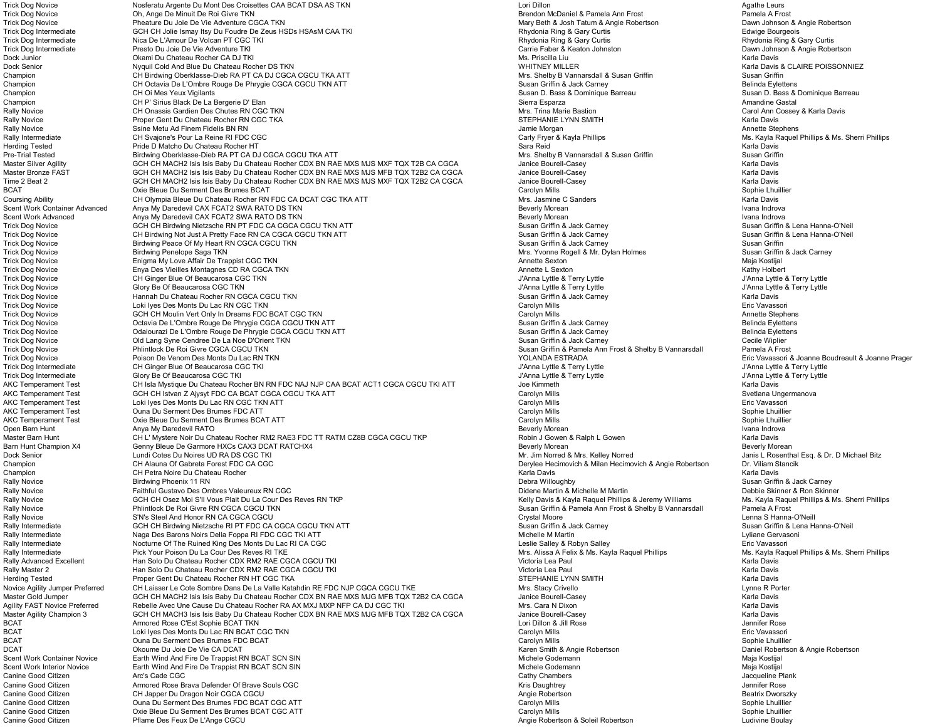Trick Dog Novice **School argente Dumont Des Croisettes CAA BCAT DSA AS TKN** New York Controllon Lori Dillon Lori Dillon Agathe Leurs Agathe Leurs Agathe Leurs Agathe Leurs Agathe Leurs Agathe Leurs Agathe Leurs Agathe Leur Trick Dog Novice **Oh, Ange De Minuit De Roi Givre TKN** Trick Dog Novice **Pheature Du Joie De Vie Adventure CGCA TKN** Mary Beth & Josh Tatum & Angie Robertson Dawn Johnson & Angie Robertson Dawn Johnson & Angie Robertson Dawn Johnson & Angie Robertson Trick Dog Intermediate GCH CH Jolie Ismay Itsy Du Foudre De Zeus HSDs HSAsM CAA TKI Rhydonia Ring & Gary Curtis Any Curtis Chromediate Gourgeois Microsoft Curtis Rhydonia Ring & Gary Curtis Rhydonia Ring & Gary Curtis Rhyd Trica De L'Amour De Volcan PT CGC TKI North Amour De L'Amour De L'Amour De Volcan PT CGC TKI Rhydonia Ring & Gary Curtis Ring & Gary Curtis Ring & Gary Curtis Ring & Gary Curtis Ring & Gary Curtis Rhydonia Ring & Gary Curt Trick Dog Intermediate Presto Du Joie De Vie Adventure TKI Carrie Faber & Keaton Johnston Dawn Johnson & Angie Robertson Dawn Johnson & Angie Robertson Dock Junior Okami Du Chateau Rocher CA DJ TKI Ms. Priscilla Liu Karla Davis Dock Senior Niguil Cold And Blue Du Chateau Rocher DS TKN North Cold And Davis & Chateau Rocher DS TKN New York<br>Champion Chateau Chateau Rocher Debar And Davis & Claire Poisson Cold And Davis & Claire Poisson Chang and Sus Champion CH Birdwing Oberklasse-Dieb RA PT CA DJ CGCA CGCU TKA ATT<br>Champion CH Octavia De L'Ombre Rouge De Phrygie CGCA CGCU TKN ATT CH Octavia De L'Ombre Rouge De Phrygie CGCA CGCU TKN ATT **Subsetted COMBRE CHAMPION CHAMPION CHAMPION CHAMPION CH**<br>CH Oi Mes Yeux Vigilants **De Dividing De Susan Griffin A Susan Dividing De Susan Dividing De Susan Dividing** Champion CH Oi Mes Yeux Vigilants CHOI Mes The Laber of Champion Champion Champion Champion Champion Champion Champion Champion Champion Champion Champion Champion Champion Champion Champion Champion Champion Champion Cham CH P' Sirius Black De La Bergerie D' Elan Rally Novice Same CH Onassis Gardien Des Chutes RN CGC TKN Name CHE CHE CHANNE CHANNE AND A CHANNE AND THING ON<br>Rally Novice CHANNE CHANNE CHANNE CHANNE CHANNE AND CHANNE AND THING ON THING ON THING CHANNE AND ANNE CHANNE Proper Gent Du Chateau Rocher RN CGC TKA Rally Novice Ssine Metu Ad Finem Fidelis BN RN Jamie Morgan Annette Stephens Rally Intermediate CH Svajone's Pour La Reine RI FDC CGC Carly Fryer A Carly Fryer & Kayla Phillips Ms. Kayla Raquel Phillips & Ms. Sherri Phillips Ms. Sherri Phillips Ms. Sherri Phillips Ms. Sherri Phillips And Davis Carl Pride D Matcho Du Chateau Rocher HT Pre-Trial Tested Susan Griffin Susan Griffin Susan Griffin Susan Griffin Susan Griffin Birdwing Oberklasse-Dieb RA PT CA DJ CGCA CGCU TKA ATT Susan Susan Susan Griffin Susan Griffin Susan Griffin Susan Griffin Susan Griffi Master Silver Agility Same of the CCH CH MACH2 Isis Isis Baby Du Chateau Rocher CDX BN RAE MXS MJS MXF TQX T2B CA CGCA Janice Bourell-Casey Sarla Davis (Karla Davis Karla Davis Arata Davis And Davis And Davis And Davis And Master Bronze FAST CH MACH2 Isis Isis Baby Du Chateau Rocher CDX BN RAE MXS MJS MFB TQX T2B2 CA CGCA Janice Bourell-Casey Carla Davis Karla Davis<br>Time 2 Beat 2 CH RAGH2 Isis Isis Baby Du Chateau Rocher CDX BN RAE MXS MJS M GCH CH MACH2 Isis Isis Baby Du Chateau Rocher CDX BN RAE MXS MJS MXF TQX T2B2 CA CGCA BCAT Carolyn Mills Carolyn Mills Carolyn Mills Sophie Lhuillier<br>1991 - Coursing Ability Channel Children Charolyn Charoler RN FDC CA DCAT CGC TKA ATT Carolyn Mills Sophie Carolyn Mills Sophie Lhuillier<br>1991 - Carolyn Mills Coursing Ability CH Olympia Bleue Du Chateau Rocher RN FDC CA DCAT CGC TKA ATT COURD Mrs. Jasmine C Sanders Mana Davis Karla Davis Karla Davis<br>Coent Work Container Advanced Anya My Daredevil CAX FCAT2 SWA RATO DS TKN CGC T Scent Work Container Advanced Anya My Daredevil CAX FCAT2 SWA RATO DS TKN<br>Scent Work Advanced **Anya My Daredevil CAX FCAT2 SWA RATO DS** TKN Scent Work Advanced Anya My Daredevil CAX FCAT2 SWA RATO DS TKN<br>Trick Dog Novice Susan Griffin & Lena Hanna-Griffin & Alexander Annual Chemical Annual Chemical Annua Indrova<br>Trick Dog Novice Susan Griffin & Lena Hanna-Grif GCH CH Birdwing Nietzsche RN PT FDC CA CGCA CGCU TKN ATT Trick Dog Novice CH Birdwing Not Just A Pretty Face RN CA CGCA CGCU TKN ATT Susan CHE Susan Griffin & Jack Carney Susan Griffin & Jack Carney Susan Griffin & Jack Carney Susan Griffin & Jack Carney Susan Griffin & Lena Han Trick Dog Novice Susan Griffin and Direction of the Birdwing Peace Of My Heart RN CGCA CGCU TKN Susan Griffin Susan Griffin & Jack Carney Susan Griffin & Jack Carney Susan Griffin & Jack Carney Susan Griffin & Jack Carney Trick Dog Novice Enigma My Love Affair De Trappist CGC TKN Annette Sexton Maja Kostijal Trick Dog Novice Enya Des Vieilles Montagnes CD RA CGCA TKN Annette L Sexton Kathy Holbert CH Ginger Blue Of Beaucarosa CGC TKN و CH Ginger Blue Of Beaucarosa CGC TKN المستحدث المستحدث المستحدث المستحدث المستحدث المستحدث المستحدث المستحدث المستحدث المستحدث المستحدث المستحدث المستحدث المستحدث المستحدث المستحدث ا Trick Dog Novice Clory Be Of Beaucarosa CGC TKN Prick Annual Lyttle American Construction of the Strick Dog Novice Strick Dog Novice Glory Be Of Beaucarosa CGC TKN J'Anna Lyttle American Du Chateau Rocher RN CGCA CGCU TKN Trick Dog Novice Hannah Du Chateau Rocher RN CGCA CGCU TKN Susan Griffin & Jack Carney Karla Davis ات المساور للمستور للمستور للمستور المستور المستور المستور المستور المستور المستور المستور المستور المستور المس<br>GCH CH Moulin Vert Only In Dreams FDC BCAT CGC TKN هو المستور المستور المستور المستور المستور المستور المستور Trick Dog Novice Same the Stephens (SCH CH Moulin Vert Only In Dreams FDC BCAT CGC TKN Carolyn Mills Carolyn Mills Carolyn Mills Annette Stephens (Stephens Annette Stephens Annette Stephens Carolyn Mills Annette Stephens ( Trick Dog Novice Same Morale of the Companisor of the Companisor of the Susan Griffin Buck Carney of the Susan Griffin Buck Carney Susan Griffin & Jack Carney Susan Griffin & Jack Carney Susan Griffin & Jack Carney Belinda Trick Dog Novice Same Modern Controller (De Phrygie CGCA CGCU TKN ATT Susan Griffin & Jack Carney Susan Griffin & Jack Carney Susan Griffin & Jack Carney Susan Griffin & Jack Carney Susan Griffin & Jack Carney Cecile Wipli Old Lang Syne Cendree De La Noe D'Orient TKN<br>Trick Dog Novice Orient TKN Susan Griffin & Pamela Ann Frost & Shelby B Vannarsdall Susan Griffin & Pamela Ann Frost & Shelby B Vannarsdall Pamela A Frost A Frost Trick Dog Novice **Phlintlock De Roi Givre CGCA CGCU TKN** Susan Griffin & Pamela Ann Frost & Shelby B Vannarsdall Trick Dog Novice Poison De Venom Des Monts Du Lac RN TKN New York Du Lac RN TKN New York Novice Prager and the Straph Provide Provide Provide Provide Provide Provide Provide Provide Provide Provide Provide Provide Provide Trick Dog Intermediate CH Ginger Blue Of Beaucarosa CGC TKI Journal (1990) of the CH CH Ginger Blue Of Beaucarosa CGC TKI Journal Lyttle Britannia Lyttle & Terry Lyttle & Terry Lyttle & Terry Lyttle & Terry Lyttle & Terry Glory Be Of Beaucarosa CGC TKI AKC Temperament Test CH Isla Mystique Du Chateau Rocher BN RN FDC NAJ NJP CAA BCAT ACT1 CGCA CGCU TKI ATT Joe Kimmeth Joe Kimmeth Karla Davis Karla Davis<br>AKC Temperament Test GCH CH Islvan Z Ajysyt FDC CA BCAT CGCA CGCU TK AKC Temperament Test GCH CH Istvan Z Ajysyt FDC CA BCAT CGCA CGCU TKA ATT Carolyn Mills Svetlana Ungermanova Loki Ives Des Monts Du Lac RN CGC TKN ATT **Carolyn Mills Eric Vavassories Attacks** Carolyn Mills Eric Vavassories Carolyn Mills AKC Temperament Test Cuna Du Serment Des Brumes FDC ATT Carolyn and the Carolyn Mills Carolyn Mills Sophie Lhuillier<br>AKC Temperament Test Carolyn Mills Sophie Lhuillier Sophie Lhuillier Sophie Lhuillier Oxie Bleue Du Serment Des Brumes BCAT ATT **Australian Carolyn Mills Sophie Learne** Carolyn Mills Carolyn Mills Anya Mills Anya Mills Sophie Lhuillier Anya Mills Sophie Lhuillier Anya Mills Sophie Lhuillier Anya Mills Sophi Open Barn Hunt Anya My Daredevil RATO Beverly Morean Ivana Indrova Master Barn Hunt CH L' Mystere Noir Du Chateau Rocher RM2 RAE3 FDC TT RATM CZ8B CGCA CGCU TKP Robin J Gowen & Ralph L Gowen Maria Davis Karla Davis (Arla Davis Arla Davis Arla Davis Arla Davis Arla Davis Arla Davis Arla Da Genny Bleue De Garmore HXCs CAX3 DCAT RATCHX4 Dock Senior **Extra Construent Construent Construent** Dumate Dumate Dumate Dumate Dumate Dumate Dumate Dumate Dumate Dumate Dumate Dumate Dumate Dumate Dumate Dumate Dumate Dumate Dumate Dumate Dumate Dumate Dumate Dumate D Champion CH Alauna Of Gabreta Forest FDC CA CGC CHAMPION CHAMPION CHAMPION CHAMPION CHAMPION CHAMPION CHAMPION Champion CH Petra Noire Du Chateau Rocher Noire Noter States and Chateau Rocher Chateau Rocher Karla Davis Karla Davis Karla Davis Karla Davis Karla Davis Karla Davis Karla Davis Karla Davis Karla Davis Karla Davis Karla D Rally Novice Birdwing Phoenix 11 RN Debra Willoughby Susan Griffin & Jack Carney Rally Novice Saithful Gustavo Des Ombres Valeureux RN CGC Didene Martin Amichelle M Martin Amichelle M Martin Amichelle M Martin Amichelle M Martin Amichelle M Martin & Michelle M Martin & Michelle M Martin B Michelle M Ma GCH CH Osez Moi S'Il Vous Plait Du La Cour Des Reves RN TKP Rally Novice Same and Denintlock De Roi Givre RN CGCA CGCU TKN Susan Griffin & Pamela Ann Frost & Shelby B Vannarsdall Pamela A Frost Pamela A Frost Christian Dennes A Frost Christian Dennes A Frost Christian Dennes Shelby Novice S'N's Steel And Honor RN CA CGCA CGCU CRYSTALLY CONTRIBUTER CONTRIBUTER CONTRIBUTER CONTRIBUTER CONTRIBUTER<br>The Susan Griffin & Lenna S GCH CH Birdwing Nietzsche RI PT FDC CA CGCA CGCU TKN ATT CRYSTAL MOORE AND SUSA GCH CH Birdwing Nietzsche RI PT FDC CA CGCA CGCU TKN ATT Rally Intermediate Naga Des Barons Noirs Della Foppa RI FDC CGC TKI ATT Notelle Martin Nichelle M Martin Martin Lyliane Gervasoni Cyliane Gervasoni Cyliane Gervasoni Lyliane Gervasoni Lyliane Gervasoni Lyliane Gervasoni Ly Rally Intermediate **Nocturne Of The Ruined King Des Monts Du Lac RI** CA CGC New Month Case of Alley A Robyn Salley & Robyn Salley & Robyn Salley & Robyn Salley A Robyn Salley Bric Vavassori Eric Vavassori Phillips & Ms. Sh Rally Intermediate Pick Your Poison Du La Cour Des Reves RI TKE And the Cour Des Reves RI TKE Mus. Alissa A Felix & Mrs. Alissa A Felix & Ms. Kayla Raquel Phillips Ms. Kayla Raquel Phillips Ms. Kayla Raquel Phillips Ms. Ka Rally Advanced Excellent Han Solo Du Chateau Rocher CDX RM2 RAE CGCA CGCU TKI North Comments and the Solomon Carla Davis (Maria Davis Carla Davis Naria Davis Naria Davis Naria Davis Naria Davis Naria Davis Naria Davis Nari Han Solo Du Chateau Rocher CDX RM2 RAE CGCA CGCU TKI Herding Tested **Example 20 For a Proper Gent Du Chateau Rocher RN HT CGC TKA** STEPHANIE LYNN SMITH STEPHANIE LYNN SMITH Karla Davis Novice Agility Jumper Preferred CH Laisser Le Cote Sombre Dans De La Valle Katahdin RE FDC NJP CGCA CGCU TKE Mrs. Stacy Crivello Casey Crivello Charles CH Laisser Le Cote Sombre Dans De La Valle Katahdin RE FDC NJP CGCA CG Master Gold Jumper Character Guide CCH CH MACH2 Isis Isis Baby Du Chateau Rocher CDX BN RAE MXS MJG MFB TQX T2B2 CA CGCA Janice Bourell-Casey Carla Davis Karla Davis<br>Agility FAST Novice Preferred Rebelle Avec Une Cause Du Rebelle Avec Une Cause Du Chateau Rocher RA AX MXJ MXP NFP CA DJ CGC TKI Master Agility Champion 3 GCH CH MACH3 Isis Isis Baby Du Chateau Rocher CDX BN RAE MXS MJG MFB TQX T2B2 CA CGCA Janice Bourell-Casey Karla Davis Armored Rose C'Est Sophie BCAT TKN<br>المراجع المستخدم المستخدم المستخدم المستخدم المستخدم المستخدم المستخدم المستخدم المستخدم المستخدم المستخدم المستخدم المستخدم المستخدم المستخدم المستخدم المستخدم المستخدم المستخدم المستخد BCAT Loki Iyes Des Monts Du Lac RN BCAT CGC TKN BCAT Sophie Lhuillier (Sophie Lhuillier Sophie Lhuillier Sophie Lhuillier (Sophie Lhuillier Sophie Lhuillier Sophie Lhuillier Sophie Lhuillier (Sophie Lhuillier Sophie Lhuillier Sophie Lhuillier (Sophie Lhuillier Sophie Lh DCAT DEAT OR DEAT OR ORGANY OR DEATH ON THE SAME ON THE VIE CA DEATH OF THE VIE CA DEATH OF THE VIE CONTROLLED<br>
Scent Work Container Novice Earth Wind And Fire De Trappist RN BCAT SCN SIN DEATH OF THE STATE OF THE SAME OR<br> Scent Work Container Novice **Earth Wind And Fire De Trappist RN BCAT SCN SIN** Michele Container Movice Earth Wind And Fire De Trappist RN BCAT SCN SIN Michele Godemann Maja Kostijal Kostijal Kostijal Kostijal Kostijal Kost Scent Work Interior Novice **Earth Wind And Fire De Trappist RN BCAT SCN SIN** Michele Content of the Michele Godemann Maja Kostijal Maja Kostijal<br>Canine Good Citizen Arc's Cade CGC Care CGC Care CGC Care Care Cativ Chambers Canine Good Citizen **Arc's Cade CGC** Cathy Chambers Cathy Chambers Cathy Chambers Cathy Chambers Jacqueline Plank Canine Good Citizen **Armored Rose Brava Defender Of Brave Souls CGC** Canada Canada Canine Canine Rose Canine Good Citizen Armored Rose Canine Rose Canine Control Control of Beatrix Dworszky<br>Canine Good Citizen **State Contr** Canine Good Citizen CH Japper Du Dragon Noir CGCA CGCU<br>Canine Good Citizen Cuna Du Serment Des Brumes FDC BCAT CGC ATT CHANNEL CHANNEL CANDING CARE CANDING CANDING T<br>Canine Good Citizen Cuna Du Serment Des Brumes FDC BCAT Caroline Good Citizen Cuna Du Serment Des Brumes FDC BCAT CGC ATT Caroline Carolyn Mills Carolyn Mills Carolyn Mills Sophie Lhuillier<br>Carolyn Mills Carolyn Mills Sophie Lhuillier Sophie Lhuillier Carolyn Mills Carolyn Mill Oxie Bleue Du Serment Des Brumes BCAT CGC ATT **Cannot Carolyn Access Carolyn Carolyn Mills** Carolyn Mills Carolyn Mills Sophie Lhuillier Carolyn Mills Sophie Lhuillier Sophie Lhuillier<br>Pflame Des Feux De L'Ange CGCU Canine Good Citizen **Pflame Des Feux De L'Ange CGCU** Angie Robertson Angie Robertson & Soleil Robertson Des Feux De L'Ange CGCU

Mrs. Yvonne Rogell & Mr. Dylan Holmes